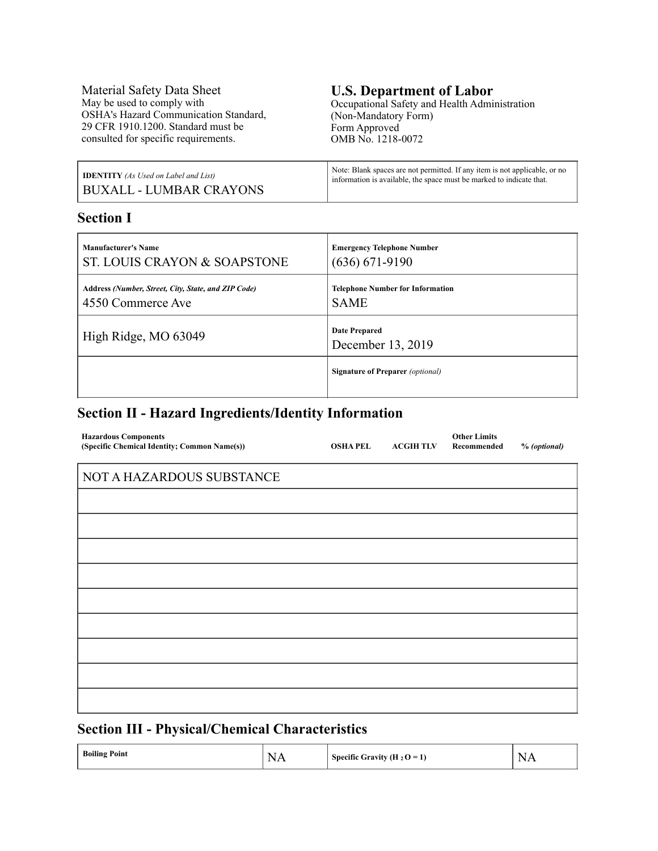Material Safety Data Sheet May be used to comply with OSHA's Hazard Communication Standard, 29 CFR 1910.1200. Standard must be consulted for specific requirements.

# **U.S. Department of Labor**

Occupational Safety and Health Administration (Non-Mandatory Form) Form Approved OMB No. 1218-0072

| <b>IDENTITY</b> (As Used on Label and List) | Note: Blank spaces are not permitted. If any item is not applicable, or no |
|---------------------------------------------|----------------------------------------------------------------------------|
| BUXALL - LUMBAR CRAYONS                     | information is available, the space must be marked to indicate that.       |

### **Section I**

| <b>Manufacturer's Name</b>                          | <b>Emergency Telephone Number</b>         |
|-----------------------------------------------------|-------------------------------------------|
| ST. LOUIS CRAYON & SOAPSTONE                        | $(636) 671-9190$                          |
| Address (Number, Street, City, State, and ZIP Code) | <b>Telephone Number for Information</b>   |
| 4550 Commerce Ave                                   | <b>SAME</b>                               |
| High Ridge, MO 63049                                | <b>Date Prepared</b><br>December 13, 2019 |
|                                                     | <b>Signature of Preparer</b> (optional)   |

### **Section II - Hazard Ingredients/Identity Information**

| <b>Hazardous Components</b><br>(Specific Chemical Identity; Common Name(s)) | <b>OSHAPEL</b> | <b>ACGIH TLV</b> | <b>Other Limits</b><br>Recommended | % (optional) |
|-----------------------------------------------------------------------------|----------------|------------------|------------------------------------|--------------|
| NOT A HAZARDOUS SUBSTANCE                                                   |                |                  |                                    |              |
|                                                                             |                |                  |                                    |              |
|                                                                             |                |                  |                                    |              |
|                                                                             |                |                  |                                    |              |
|                                                                             |                |                  |                                    |              |
|                                                                             |                |                  |                                    |              |
|                                                                             |                |                  |                                    |              |
|                                                                             |                |                  |                                    |              |
|                                                                             |                |                  |                                    |              |
|                                                                             |                |                  |                                    |              |
|                                                                             |                |                  |                                    |              |

### **Section III - Physical/Chemical Characteristics**

| <b>Boiling Point</b> | N.<br>$\cdot$ $\cdot$<br>the contract of the contract of the contract of | Specific Gravity (H <sub>2</sub> O = $\Gamma$ ) | N.<br>. .<br>the contract of the contract of the contract of |
|----------------------|--------------------------------------------------------------------------|-------------------------------------------------|--------------------------------------------------------------|
|----------------------|--------------------------------------------------------------------------|-------------------------------------------------|--------------------------------------------------------------|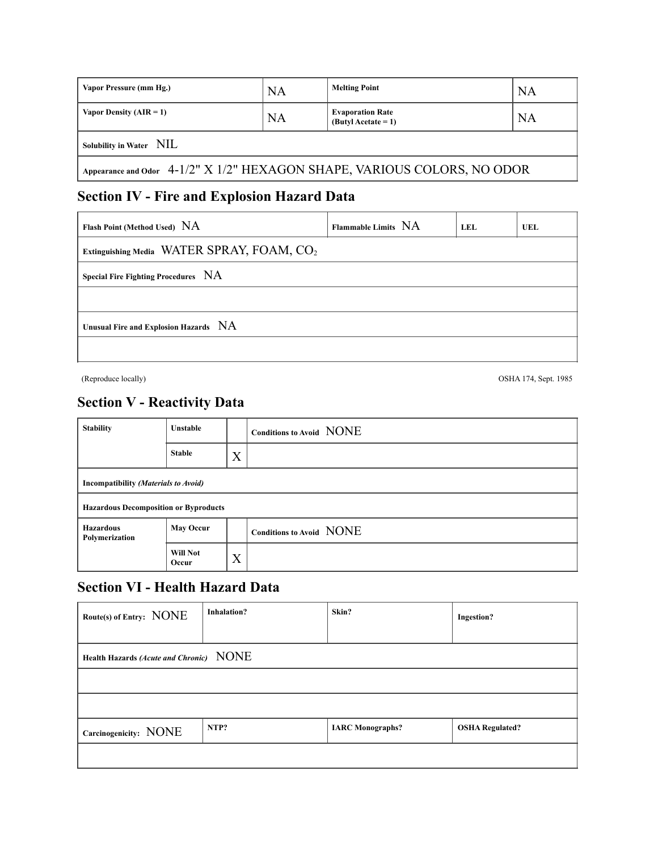| Vapor Pressure (mm Hg.)                                                  | <b>NA</b> | <b>Melting Point</b>                             | <b>NA</b> |  |
|--------------------------------------------------------------------------|-----------|--------------------------------------------------|-----------|--|
| Vapor Density $(AIR = 1)$                                                | <b>NA</b> | <b>Evaporation Rate</b><br>$(ButyI Acctate = 1)$ | <b>NA</b> |  |
| Solubility in Water NIL                                                  |           |                                                  |           |  |
| Appearance and Odor 4-1/2" X 1/2" HEXAGON SHAPE, VARIOUS COLORS, NO ODOR |           |                                                  |           |  |

## **Section IV - Fire and Explosion Hazard Data**

| Flash Point (Method Used) NA                           | Flammable Limits NA | LEL. | UEL |  |
|--------------------------------------------------------|---------------------|------|-----|--|
| Extinguishing Media WATER SPRAY, FOAM, CO <sub>2</sub> |                     |      |     |  |
| Special Fire Fighting Procedures NA                    |                     |      |     |  |
|                                                        |                     |      |     |  |
| Unusual Fire and Explosion Hazards NA                  |                     |      |     |  |
|                                                        |                     |      |     |  |

(Reproduce locally) OSHA 174, Sept. 1985

### **Section V - Reactivity Data**

| <b>Stability</b>                             | <b>Unstable</b>   |   | Conditions to Avoid NONE |
|----------------------------------------------|-------------------|---|--------------------------|
|                                              | <b>Stable</b>     | X |                          |
| Incompatibility (Materials to Avoid)         |                   |   |                          |
| <b>Hazardous Decomposition or Byproducts</b> |                   |   |                          |
| <b>Hazardous</b><br>Polymerization           | <b>May Occur</b>  |   | Conditions to Avoid NONE |
|                                              | Will Not<br>Occur | X |                          |

### **Section VI - Health Hazard Data**

| Route(s) of Entry: NONE                 | <b>Inhalation?</b> | Skin?                   | <b>Ingestion?</b>      |
|-----------------------------------------|--------------------|-------------------------|------------------------|
| Health Hazards (Acute and Chronic) NONE |                    |                         |                        |
|                                         |                    |                         |                        |
|                                         |                    |                         |                        |
| Carcinogenicity: NONE                   | NTP?               | <b>IARC</b> Monographs? | <b>OSHA Regulated?</b> |
|                                         |                    |                         |                        |